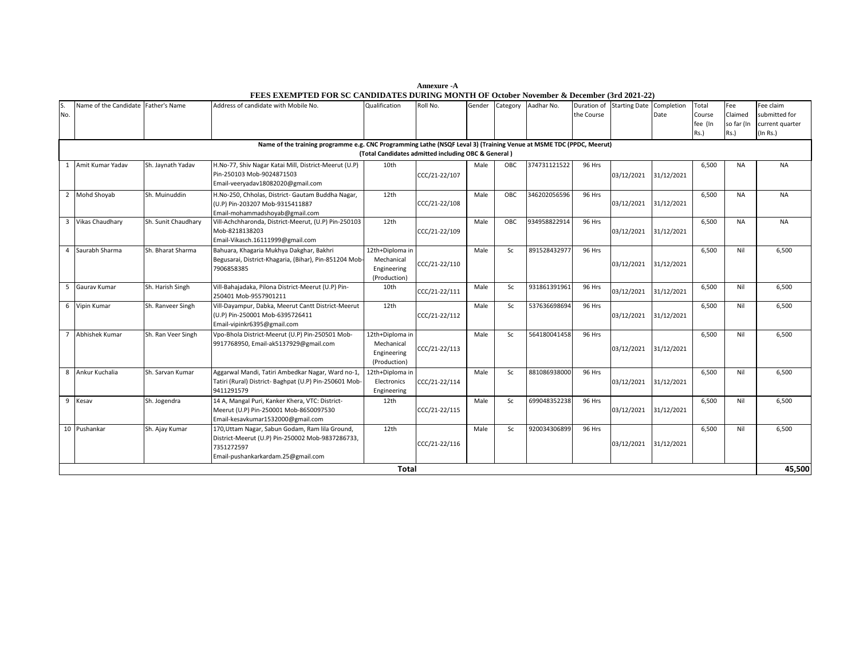| S.<br>No. | Name of the Candidate Father's Name |                     | Address of candidate with Mobile No.                                                                                                                    | Qualification                                                | Roll No.      | Gender | Category | Aadhar No.   | Duration of<br>the Course | Starting Date Completion | Date       | Total<br>Course<br>fee (In<br>Rs.) | Fee<br>Claimed<br>so far (In<br>Rs.) | Fee claim<br>submitted for<br>current quarter<br>(In Rs.) |
|-----------|-------------------------------------|---------------------|---------------------------------------------------------------------------------------------------------------------------------------------------------|--------------------------------------------------------------|---------------|--------|----------|--------------|---------------------------|--------------------------|------------|------------------------------------|--------------------------------------|-----------------------------------------------------------|
|           |                                     |                     | Name of the training programme e.g. CNC Programming Lathe (NSQF Leval 3) (Training Venue at MSME TDC (PPDC, Meerut)                                     | (Total Candidates admitted including OBC & General)          |               |        |          |              |                           |                          |            |                                    |                                      |                                                           |
|           | 1 Amit Kumar Yadav                  | Sh. Jaynath Yadav   | H.No-77, Shiv Nagar Katai Mill, District-Meerut (U.P)<br>Pin-250103 Mob-9024871503<br>Email-veeryadav18082020@gmail.com                                 | 10th                                                         | CCC/21-22/107 | Male   | OBC      | 374731121522 | 96 Hrs                    | 03/12/2021               | 31/12/2021 | 6,500                              | <b>NA</b>                            | <b>NA</b>                                                 |
|           | 2 Mohd Shoyab                       | Sh. Muinuddin       | H.No-250, Chholas, District- Gautam Buddha Nagar,<br>(U.P) Pin-203207 Mob-9315411887<br>Email-mohammadshoyab@gmail.com                                  | 12th                                                         | CCC/21-22/108 | Male   | OBC      | 346202056596 | 96 Hrs                    | 03/12/2021               | 31/12/2021 | 6,500                              | <b>NA</b>                            | <b>NA</b>                                                 |
|           | 3 Vikas Chaudhary                   | Sh. Sunit Chaudhary | Vill-Achchharonda, District-Meerut, (U.P) Pin-250103<br>Mob-8218138203<br>Email-Vikasch.16111999@gmail.com                                              | 12th                                                         | CCC/21-22/109 | Male   | OBC      | 934958822914 | 96 Hrs                    | 03/12/2021               | 31/12/2021 | 6,500                              | <b>NA</b>                            | <b>NA</b>                                                 |
| $\Delta$  | Saurabh Sharma                      | Sh. Bharat Sharma   | Bahuara, Khagaria Mukhya Dakghar, Bakhri<br>Begusarai, District-Khagaria, (Bihar), Pin-851204 Mob-<br>7906858385                                        | 12th+Diploma in<br>Mechanical<br>Engineering<br>(Production) | CCC/21-22/110 | Male   | Sc       | 891528432977 | 96 Hrs                    | 03/12/2021               | 31/12/2021 | 6,500                              | Nil                                  | 6,500                                                     |
|           | 5 Gaurav Kumar                      | Sh. Harish Singh    | Vill-Bahajadaka, Pilona District-Meerut (U.P) Pin-<br>250401 Mob-9557901211                                                                             | 10th                                                         | CCC/21-22/111 | Male   | Sc       | 931861391961 | 96 Hrs                    | 03/12/2021               | 31/12/2021 | 6,500                              | Nil                                  | 6,500                                                     |
|           | 6 Vipin Kumar                       | Sh. Ranveer Singh   | Vill-Dayampur, Dabka, Meerut Cantt District-Meerut<br>(U.P) Pin-250001 Mob-6395726411<br>Email-vipinkr6395@gmail.com                                    | 12th                                                         | CCC/21-22/112 | Male   | Sc       | 537636698694 | 96 Hrs                    | 03/12/2021               | 31/12/2021 | 6,500                              | Nil                                  | 6,500                                                     |
|           | Abhishek Kumar                      | Sh. Ran Veer Singh  | Vpo-Bhola District-Meerut (U.P) Pin-250501 Mob-<br>9917768950, Email-ak5137929@gmail.com                                                                | 12th+Diploma in<br>Mechanical<br>Engineering<br>(Production) | CCC/21-22/113 | Male   | Sc       | 564180041458 | 96 Hrs                    | 03/12/2021 31/12/2021    |            | 6,500                              | Nil                                  | 6,500                                                     |
| 8         | Ankur Kuchalia                      | Sh. Sarvan Kumar    | Aggarwal Mandi, Tatiri Ambedkar Nagar, Ward no-1,<br>Tatiri (Rural) District- Baghpat (U.P) Pin-250601 Mob-<br>9411291579                               | 12th+Diploma in<br>Electronics<br>Engineering                | CCC/21-22/114 | Male   | Sc       | 881086938000 | 96 Hrs                    | 03/12/2021               | 31/12/2021 | 6,500                              | Nil                                  | 6,500                                                     |
| 9         | Kesav                               | Sh. Jogendra        | 14 A, Mangal Puri, Kanker Khera, VTC: District-<br>Meerut (U.P) Pin-250001 Mob-8650097530<br>Email-kesavkumar1532000@gmail.com                          | 12th                                                         | CCC/21-22/115 | Male   | Sc       | 699048352238 | 96 Hrs                    | 03/12/2021               | 31/12/2021 | 6,500                              | Nil                                  | 6,500                                                     |
|           | 10 Pushankar                        | Sh. Ajay Kumar      | 170, Uttam Nagar, Sabun Godam, Ram lila Ground,<br>District-Meerut (U.P) Pin-250002 Mob-9837286733,<br>7351272597<br>Email-pushankarkardam.25@gmail.com | 12th                                                         | CCC/21-22/116 | Male   | Sc       | 920034306899 | 96 Hrs                    | 03/12/2021 31/12/2021    |            | 6,500                              | Nil                                  | 6,500                                                     |
|           |                                     |                     |                                                                                                                                                         | <b>Total</b>                                                 |               |        |          |              |                           |                          |            |                                    |                                      | 45.500                                                    |

 **Annexure -A FEES EXEMPTED FOR SC CANDIDATES DURING MONTH OF October November & December (3rd 2021-22)**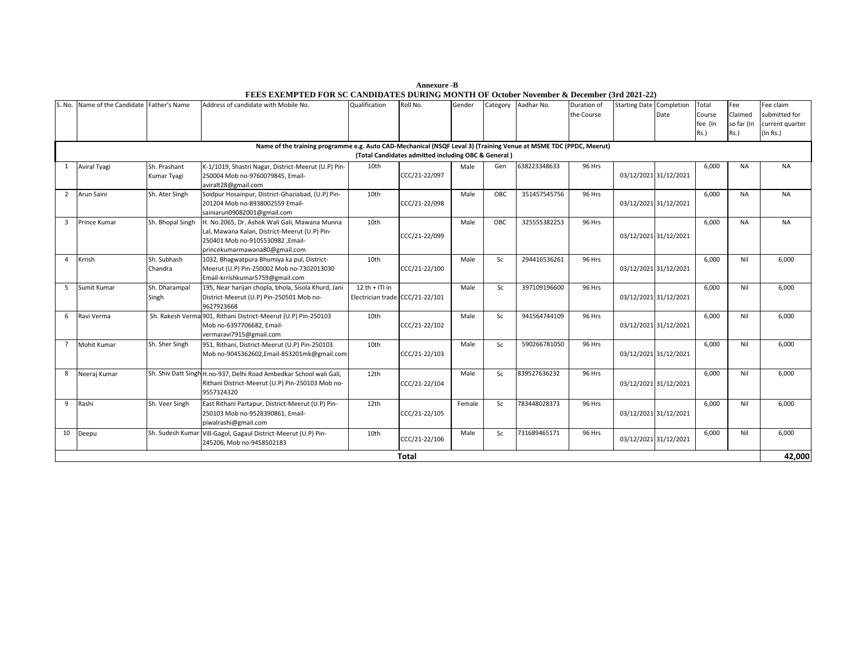| Annexure -B                                                                               |
|-------------------------------------------------------------------------------------------|
| FEES EXEMPTED FOR SC CANDIDATES DURING MONTH OF October November & December (3rd 2021-22) |

| S. No.         | Name of the Candidate | Father's Name               | Address of candidate with Mobile No.                                                                                                                                | Qualification                                       | Roll No.                                            | Gender | Category | Aadhar No.   | Duration of<br>the Course | <b>Starting Date Completion</b> | Date | Total<br>Course<br>fee (In<br>Rs.) | Fee<br>Claimed<br>so far (In<br>$Rs.$ ) | Fee claim<br>submitted for<br>current quarter<br>(In Rs.) |
|----------------|-----------------------|-----------------------------|---------------------------------------------------------------------------------------------------------------------------------------------------------------------|-----------------------------------------------------|-----------------------------------------------------|--------|----------|--------------|---------------------------|---------------------------------|------|------------------------------------|-----------------------------------------|-----------------------------------------------------------|
|                |                       |                             | Name of the training programme e.g. Auto CAD-Mechanical (NSQF Leval 3) (Training Venue at MSME TDC (PPDC, Meerut)                                                   |                                                     | (Total Candidates admitted including OBC & General) |        |          |              |                           |                                 |      |                                    |                                         |                                                           |
| 1              | <b>Aviral Tyagi</b>   | Sh. Prashant<br>Kumar Tyagi | K-1/1019, Shastri Nagar, District-Meerut (U.P) Pin-<br>250004 Mob no-9760079845, Email-<br>aviralt28@gmail.com                                                      | 10th                                                | CCC/21-22/097                                       | Male   | Gen      | 638223348633 | 96 Hrs                    | 03/12/2021 31/12/2021           |      | 6,000                              | <b>NA</b>                               | <b>NA</b>                                                 |
| $\overline{2}$ | Arun Saini            | Sh. Ater Singh              | Soidpur Hosainpur, District-Ghaziabad, (U.P) Pin-<br>201204 Mob no-8938002559 Email-<br>sainiarun09082001@gmail.com                                                 | 10th                                                | CCC/21-22/098                                       | Male   | OBC      | 351457545756 | 96 Hrs                    | 03/12/2021 31/12/2021           |      | 6.000                              | <b>NA</b>                               | <b>NA</b>                                                 |
| $\overline{3}$ | Prince Kumar          | Sh. Bhopal Singh            | H. No.2065, Dr. Ashok Wali Gali, Mawana Munna<br>Lal, Mawana Kalan, District-Meerut (U.P) Pin-<br>250401 Mob no-9105530982 ,Email-<br>princekumarmawana80@gmail.com | 10th                                                | CCC/21-22/099                                       | Male   | OBC      | 325555382253 | 96 Hrs                    | 03/12/2021 31/12/2021           |      | 6,000                              | <b>NA</b>                               | <b>NA</b>                                                 |
| $\overline{4}$ | Krrish                | Sh. Subhash<br>Chandra      | 1032, Bhagwatpura Bhumiya ka pul, District-<br>Meerut (U.P) Pin-250002 Mob no-7302013030<br>Email-krrishkumar5759@gmail.com                                         | 10th                                                | CCC/21-22/100                                       | Male   | Sc       | 294416536261 | 96 Hrs                    | 03/12/2021 31/12/2021           |      | 6,000                              | Nil                                     | 6,000                                                     |
| 5              | Sumit Kumar           | Sh. Dharampal<br>Singh      | 195, Near harijan chopla, bhola, Sisola Khurd, Jani<br>District-Meerut (U.P) Pin-250501 Mob no-<br>9627923668                                                       | $12 th +  T  in$<br>Electrician trade CCC/21-22/101 |                                                     | Male   | Sc       | 397109196600 | 96 Hrs                    | 03/12/2021 31/12/2021           |      | 6.000                              | Nil                                     | 6,000                                                     |
| 6              | Ravi Verma            |                             | Sh. Rakesh Verma 901, Rithani District-Meerut (U.P) Pin-250103<br>Mob no-6397706682, Email-<br>vermaravi7915@gmail.com                                              | 10th                                                | CCC/21-22/102                                       | Male   | Sc       | 941564744109 | 96 Hrs                    | 03/12/2021 31/12/2021           |      | 6,000                              | Nil                                     | 6,000                                                     |
| $\overline{7}$ | <b>Mohit Kumar</b>    | Sh. Sher Singh              | 951, Rithani, District-Meerut (U.P) Pin-250103<br>Mob no-9045362602, Email-853201mk@gmail.com                                                                       | 10th                                                | CCC/21-22/103                                       | Male   | Sc       | 590266781050 | 96 Hrs                    | 03/12/2021 31/12/2021           |      | 6.000                              | Nil                                     | 6.000                                                     |
| 8              | Neeraj Kumar          |                             | Sh. Shiv Datt Singh H.no-937, Delhi Road Ambedkar School wali Gali,<br>Rithani District-Meerut (U.P) Pin-250103 Mob no-<br>9557324320                               | 12 <sub>th</sub>                                    | CCC/21-22/104                                       | Male   | Sc.      | 839527636232 | <b>96 Hrs</b>             | 03/12/2021 31/12/2021           |      | 6.000                              | Nil                                     | 6,000                                                     |
| 9              | Rashi                 | Sh. Veer Singh              | East Rithani Partapur, District-Meerut (U.P) Pin-<br>250103 Mob no-9528390861, Email-<br>piwalrashi@gmail.com                                                       | 12th                                                | CCC/21-22/105                                       | Female | Sc       | 783448028373 | 96 Hrs                    | 03/12/2021 31/12/2021           |      | 6,000                              | Nil                                     | 6,000                                                     |
| 10             | Deepu                 | Sh. Sudesh Kumar            | Vill-Gagol, Gagaul District-Meerut (U.P) Pin-<br>245206, Mob no-9458502183                                                                                          | 10th                                                | CCC/21-22/106                                       | Male   | Sc       | 731689465171 | 96 Hrs                    | 03/12/2021 31/12/2021           |      | 6,000                              | Nil                                     | 6,000                                                     |
|                |                       |                             |                                                                                                                                                                     |                                                     | <b>Total</b>                                        |        |          |              |                           |                                 |      |                                    |                                         | 42,000                                                    |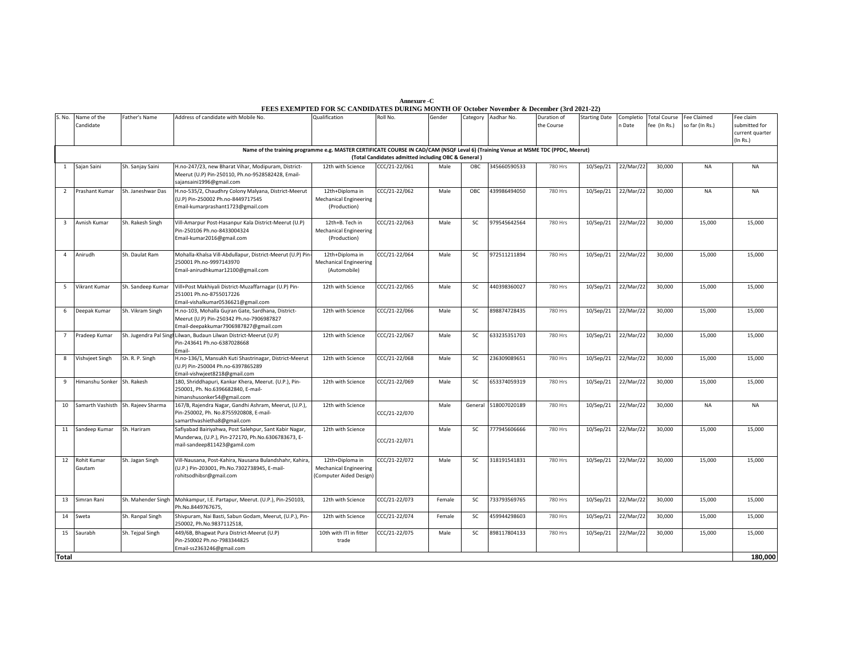| Annexure -C                                                                                          |
|------------------------------------------------------------------------------------------------------|
| <b>FEES EXEMPTED FOR SC CANDIDATES DURING MONTH OF October November &amp; December (3rd 2021-22)</b> |

| S. No.         | Name of the<br>Candidate           | Father's Name      | Address of candidate with Mobile No.                                                                                                         | Qualification                                                               | Roll No.                                                             | Gender |           | Category Aadhar No. | Duration of<br>the Course | <b>Starting Date</b> | n Date    | Completio Total Course<br>fee (In Rs.) | <b>Fee Claimed</b><br>so far (In Rs.) | Fee claim<br>submitted for<br>current quarter<br>(In Rs.) |
|----------------|------------------------------------|--------------------|----------------------------------------------------------------------------------------------------------------------------------------------|-----------------------------------------------------------------------------|----------------------------------------------------------------------|--------|-----------|---------------------|---------------------------|----------------------|-----------|----------------------------------------|---------------------------------------|-----------------------------------------------------------|
|                |                                    |                    | Name of the training programme e.g. MASTER CERTIFICATE COURSE IN CAD/CAM (NSQF Leval 6) (Training Venue at MSME TDC (PPDC, Meerut)           |                                                                             |                                                                      |        |           |                     |                           |                      |           |                                        |                                       |                                                           |
| 1              | Sajan Saini                        | Sh. Sanjay Saini   | H.no-247/23, new Bharat Vihar, Modipuram, District-<br>Meerut (U.P) Pin-250110, Ph.no-9528582428, Email-<br>sajansaini1996@gmail.com         | 12th with Science                                                           | (Total Candidates admitted including OBC & General)<br>CCC/21-22/061 | Male   | OBC       | 345660590533        | 780 Hrs                   | 10/Sep/21            | 22/Mar/22 | 30,000                                 | <b>NA</b>                             | NA                                                        |
| 2              | Prashant Kumar                     | Sh. Janeshwar Das  | H.no-535/2, Chaudhry Colony Malyana, District-Meerut<br>(U.P) Pin-250002 Ph.no-8449717545<br>Email-kumarprashant1723@gmail.com               | 12th+Diploma in<br><b>Mechanical Engineering</b><br>(Production)            | CCC/21-22/062                                                        | Male   | OBC       | 439986494050        | 780 Hrs                   | 10/Sep/21            | 22/Mar/22 | 30,000                                 | <b>NA</b>                             | <b>NA</b>                                                 |
| $\mathbf{B}$   | Avnish Kumar                       | Sh. Rakesh Singh   | Vill-Amarpur Post-Hasanpur Kala District-Meerut (U.P)<br>Pin-250106 Ph.no-8433004324<br>Email-kumar2016@gmail.com                            | 12th+B. Tech in<br><b>Mechanical Engineering</b><br>(Production)            | CC/21-22/063                                                         | Male   | SC        | 979545642564        | 780 Hrs                   | 10/Sep/21            | 22/Mar/22 | 30,000                                 | 15,000                                | 15,000                                                    |
| $\overline{4}$ | Anirudh                            | Sh. Daulat Ram     | Mohalla-Khalsa Vill-Abdullapur, District-Meerut (U.P) Pin<br>250001 Ph.no-9997143970<br>Email-anirudhkumar12100@gmail.com                    | 12th+Diploma in<br><b>Mechanical Engineering</b><br>(Automobile)            | CCC/21-22/064                                                        | Male   | SC        | 972511211894        | 780 Hrs                   | 10/Sep/21            | 22/Mar/22 | 30,000                                 | 15,000                                | 15,000                                                    |
| 5              | Vikrant Kumar                      | Sh. Sandeep Kumar  | Vill+Post Makhiyali District-Muzaffarnagar (U.P) Pin-<br>251001 Ph.no-8755017226<br>Email-vishalkumar0536621@gmail.com                       | 12th with Science                                                           | CCC/21-22/065                                                        | Male   | SC        | 440398360027        | 780 Hrs                   | 10/Sep/21            | 22/Mar/22 | 30,000                                 | 15,000                                | 15,000                                                    |
| 6              | Deepak Kumar                       | Sh. Vikram Singh   | H.no-103, Mohalla Gujran Gate, Sardhana, District-<br>Meerut (U.P) Pin-250342 Ph.no-7906987827<br>Email-deepakkumar7906987827@gmail.com      | 12th with Science                                                           | CCC/21-22/066                                                        | Male   | SC        | 898874728435        | 780 Hrs                   | 10/Sep/21            | 22/Mar/22 | 30.000                                 | 15.000                                | 15,000                                                    |
| $7^{\circ}$    | Pradeep Kumar                      |                    | Sh. Jugendra Pal Singi Lilwan, Budaun Lilwan District-Meerut (U.P)<br>Pin-243641 Ph.no-6387028668<br>Email-                                  | 12th with Science                                                           | CCC/21-22/067                                                        | Male   | <b>SC</b> | 633235351703        | 780 Hrs                   | 10/Sep/21            | 22/Mar/22 | 30,000                                 | 15,000                                | 15,000                                                    |
| 8              | Vishvjeet Singh                    | Sh. R. P. Singh    | H.no-136/1, Mansukh Kuti Shastrinagar, District-Meerut<br>(U.P) Pin-250004 Ph.no-6397865289<br>Email-vishwjeet8218@gmail.com                 | 12th with Science                                                           | CCC/21-22/068                                                        | Male   | SC        | 236309089651        | 780 Hrs                   | 10/Sep/21            | 22/Mar/22 | 30,000                                 | 15,000                                | 15,000                                                    |
| 9              | Himanshu Sonker                    | Sh. Rakesh         | 180, Shriddhapuri, Kankar Khera, Meerut. (U.P.), Pin-<br>250001, Ph. No.6396682840, E-mail-<br>himanshusonker54@gmail.com                    | 12th with Science                                                           | CCC/21-22/069                                                        | Male   | SC        | 653374059319        | 780 Hrs                   | 10/Sep/21            | 22/Mar/22 | 30,000                                 | 15,000                                | 15,000                                                    |
| 10             | Samarth Vashisth Sh. Rajeev Sharma |                    | 167/B, Rajendra Nagar, Gandhi Ashram, Meerut, (U.P.),<br>Pin-250002, Ph. No.8755920808, E-mail-<br>samarthvashietha8@gmail.com               | 12th with Science                                                           | CCC/21-22/070                                                        | Male   | General   | 518007020189        | 780 Hrs                   | 10/Sep/21            | 22/Mar/22 | 30,000                                 | <b>NA</b>                             | <b>NA</b>                                                 |
|                | 11 Sandeep Kumar                   | Sh. Hariram        | Safiyabad Bairiyahwa, Post Salehpur, Sant Kabir Nagar,<br>Munderwa, (U.P.), Pin-272170, Ph.No.6306783673, E-<br>mail-sandeep811423@gamil.com | 12th with Science                                                           | CCC/21-22/071                                                        | Male   | SC        | 777945606666        | 780 Hrs                   | 10/Sep/21            | 22/Mar/22 | 30,000                                 | 15,000                                | 15,000                                                    |
| 12             | Rohit Kumar<br>Gautam              | Sh. Jagan Singh    | Vill-Nausana, Post-Kahira, Nausana Bulandshahr, Kahira<br>(U.P.) Pin-203001, Ph.No.7302738945, E-mail-<br>rohitsodhibsr@gmail.com            | 12th+Diploma in<br><b>Mechanical Engineering</b><br>(Computer Aided Design) | CCC/21-22/072                                                        | Male   | SC        | 318191541831        | 780 Hrs                   | 10/Sep/21            | 22/Mar/22 | 30,000                                 | 15,000                                | 15,000                                                    |
|                | 13 Simran Rani                     | Sh. Mahender Singh | Mohkampur, I.E. Partapur, Meerut. (U.P.), Pin-250103,<br>Ph.No.8449767675,                                                                   | 12th with Science                                                           | CCC/21-22/073                                                        | Female | SC        | 733793569765        | 780 Hrs                   | 10/Sep/21            | 22/Mar/22 | 30,000                                 | 15,000                                | 15,000                                                    |
| 14             | Sweta                              | Sh. Ranpal Singh   | Shivpuram, Nai Basti, Sabun Godam, Meerut, (U.P.), Pin-<br>250002, Ph.No.9837112518,                                                         | 12th with Science                                                           | CCC/21-22/074                                                        | Female | SC        | 459944298603        | 780 Hrs                   | 10/Sep/21            | 22/Mar/22 | 30,000                                 | 15,000                                | 15,000                                                    |
| 15             | Saurabh                            | Sh. Tejpal Singh   | 449/6B, Bhagwat Pura District-Meerut (U.P)<br>Pin-250002 Ph.no-7983344825<br>Email-ss2363246@gmail.com                                       | 10th with ITI in fitter<br>trade                                            | CCC/21-22/075                                                        | Male   | SC        | 898117804133        | 780 Hrs                   | 10/Sep/21            | 22/Mar/22 | 30,000                                 | 15,000                                | 15,000                                                    |
| Total          |                                    |                    |                                                                                                                                              |                                                                             |                                                                      |        |           |                     |                           |                      |           |                                        |                                       | 180,000                                                   |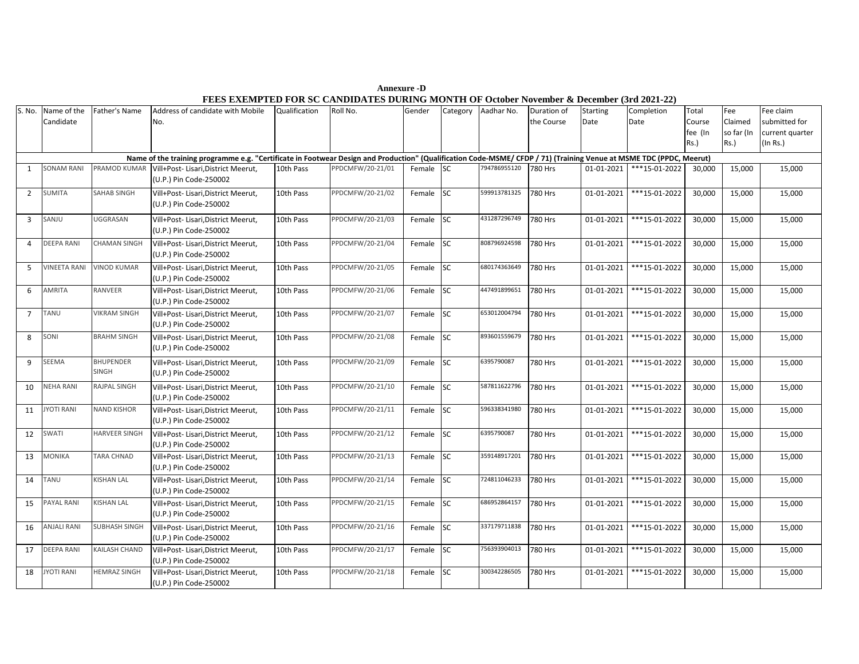S. No. Name of the Candidate Father's Name Address of candidate with Mobile No. Qualification Roll No. Gender Category Aadhar No. Duration of the Course **Starting** Date Completion Date **Total** Course fee (In Rs.) Fee Claimed so far (In Rs.) Fee claim submitted for current quarter (In Rs.) 1 SONAM RANI PRAMOD KUMAR Vill+Post- Lisari,District Meerut, (U.P.) Pin Code-250002 10th Pass PPDCMFW/20-21/01 Female SC 794786955120 780 Hrs 01-01-2021 \*\*\*15-01-2022 30,000 15,000 15,000 2 SUMITA SAHAB SINGH Vill+Post- Lisari,District Meerut, (U.P.) Pin Code-250002 10th Pass PPDCMFW/20-21/02 Female SC 599913781325 780 Hrs 01-01-2021 \*\*\*15-01-2022 30,000 15,000 15,000 3 SANJU UGGRASAN Vill+Post- Lisari,District Meerut, (U.P.) Pin Code-250002 10th Pass PPDCMFW/20-21/03 Female SC 431287296749 780 Hrs 01-01-2021 \*\*\*15-01-2022 30,000 15,000 15,000 4 DEEPA RANI CHAMAN SINGH Vill+Post- Lisari,District Meerut, (U.P.) Pin Code-250002 10th Pass PPDCMFW/20-21/04 Female SC 808796924598 780 Hrs 01-01-2021 \*\*\*15-01-2022 30,000 15,000 15,000 5 VINEETA RANI VINOD KUMAR Vill+Post- Lisari,District Meerut, (U.P.) Pin Code-250002 10th Pass PPDCMFW/20-21/05 Female SC 680174363649 780 Hrs 01-01-2021 \*\*\*15-01-2022 30,000 15,000 15,000 6 AMRITA RANVEER Vill+Post- Lisari,District Meerut, (U.P.) Pin Code-250002 10th Pass PPDCMFW/20-21/06 Female SC 447491899651 780 Hrs 01-01-2021 \*\*\*15-01-2022 30,000 15,000 15,000 7 TANU VIKRAM SINGH Vill+Post- Lisari,District Meerut, (U.P.) Pin Code-250002 10th Pass PPDCMFW/20-21/07 Female SC 653012004794 780 Hrs 01-01-2021 \*\*\*15-01-2022 30,000 15,000 15,000 8 SONI BRAHM SINGH VIII+Post- Lisari, District Meerut, (U.P.) Pin Code-250002 10th Pass PPDCMFW/20-21/08 Female SC 893601559679 780 Hrs 01-01-2021 \*\*\*15-01-2022 30,000 15,000 15,000 9 SEEMA BHUPENDER SINGH Vill+Post- Lisari,District Meerut, (U.P.) Pin Code-250002 10th Pass PPDCMFW/20-21/09 Female SC 6395790087 780 Hrs 01-01-2021 \*\*\*15-01-2022 30,000 15,000 15,000 10 NEHA RANI RAJPAL SINGH Vill+Post- Lisari,District Meerut, (U.P.) Pin Code-250002 10th Pass PPDCMFW/20-21/10 Female SC 587811622796 780 Hrs 01-01-2021 \*\*\*15-01-2022 30,000 15,000 15,000 11 JYOTI RANI NAND KISHOR Vill+Post- Lisari,District Meerut, (U.P.) Pin Code-250002 10th Pass PPDCMFW/20-21/11 Female SC 596338341980 780 Hrs 01-01-2021 \*\*\*15-01-2022 30,000 15,000 15,000 12 SWATI HARVEER SINGH Vill+Post- Lisari,District Meerut, (U.P.) Pin Code-250002 10th Pass PPDCMFW/20-21/12 Female SC 6395790087 780 Hrs 01-01-2021 \*\*\*15-01-2022 30,000 15,000 15,000 13 MONIKA TARA CHNAD Vill+Post- Lisari,District Meerut, (U.P.) Pin Code-250002 10th Pass PPDCMFW/20-21/13 Female SC 359148917201 780 Hrs 01-01-2021 \*\*\*15-01-2022 30,000 15,000 15,000 14 TANU KISHAN LAL Vill+Post- Lisari,District Meerut, (U.P.) Pin Code-250002 10th Pass PPDCMFW/20-21/14 Female SC 724811046233 780 Hrs 01-01-2021 \*\*\*15-01-2022 30,000 15,000 15,000 15 PAYAL RANI KISHAN LAL Vill+Post- Lisari,District Meerut, (U.P.) Pin Code-250002 10th Pass PPDCMFW/20-21/15 Female SC 686952864157 780 Hrs 01-01-2021 \*\*\*15-01-2022 30,000 15,000 15,000 16 ANJALI RANI SUBHASH SINGH Vill+Post- Lisari,District Meerut, (U.P.) Pin Code-250002 10th Pass PPDCMFW/20-21/16 Female SC 337179711838 780 Hrs 01-01-2021 \*\*\*15-01-2022 30,000 15,000 15,000 17 DEEPA RANI KAILASH CHAND Vill+Post- Lisari,District Meerut, (U.P.) Pin Code-250002 10th Pass PPDCMFW/20-21/17 Female SC 756393904013 780 Hrs 01-01-2021 \*\*\*15-01-2022 30,000 15,000 15,000 18 JYOTI RANI HEMRAZ SINGH Vill+Post- Lisari,District Meerut, (U.P.) Pin Code-250002 10th Pass PPDCMFW/20-21/18 Female SC 300342286505 780 Hrs 01-01-2021 \*\*\*15-01-2022 30,000 15,000 15,000 **Name of the training programme e.g. "Certificate in Footwear Design and Production" (Qualification Code-MSME/ CFDP / 71) (Training Venue at MSME TDC (PPDC, Meerut)**

 **Annexure -D FEES EXEMPTED FOR SC CANDIDATES DURING MONTH OF October November & December (3rd 2021-22)**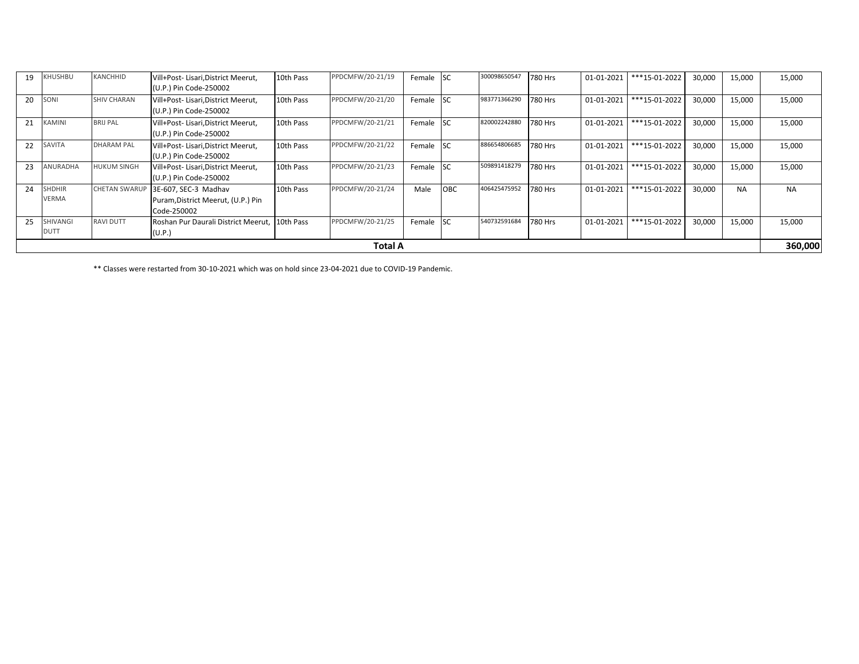|    | SHIVANGI<br><b>DUTT</b>       | <b>RAVI DUTT</b>     | Code-250002<br>Roshan Pur Daurali District Meerut, 10th Pass<br>(U.P.) |           | PPDCMFW/20-21/25 | Female | <b>SC</b>  | 540732591684 | 780 Hrs | 01-01-2021 | ***15-01-2022 | 30,000 | 15,000    | 15,000    |
|----|-------------------------------|----------------------|------------------------------------------------------------------------|-----------|------------------|--------|------------|--------------|---------|------------|---------------|--------|-----------|-----------|
|    |                               |                      |                                                                        |           |                  |        |            |              |         |            |               |        |           |           |
| 25 |                               |                      |                                                                        |           |                  |        |            |              |         |            |               |        |           |           |
|    |                               |                      | Puram, District Meerut, (U.P.) Pin                                     |           |                  |        |            |              |         |            |               |        |           |           |
| 24 | <b>SHDHIR</b><br><b>VERMA</b> | <b>CHETAN SWARUP</b> | 3E-607, SEC-3 Madhav                                                   | 10th Pass | PPDCMFW/20-21/24 | Male   | OBC        | 406425475952 | 780 Hrs | 01-01-2021 | ***15-01-2022 | 30,000 | <b>NA</b> | <b>NA</b> |
| 23 | ANURADHA                      | <b>HUKUM SINGH</b>   | Vill+Post-Lisari, District Meerut,<br>(U.P.) Pin Code-250002           | 10th Pass | PPDCMFW/20-21/23 | Female | <b>SC</b>  | 509891418279 | 780 Hrs | 01-01-2021 | ***15-01-2022 | 30,000 | 15,000    | 15,000    |
| 22 | SAVITA                        | <b>DHARAM PAL</b>    | Vill+Post-Lisari, District Meerut,<br>(U.P.) Pin Code-250002           | 10th Pass | PPDCMFW/20-21/22 | Female | <b>SC</b>  | 886654806685 | 780 Hrs | 01-01-2021 | ***15-01-2022 | 30,000 | 15,000    | 15,000    |
| 21 | <b>KAMINI</b>                 | <b>BRIJ PAL</b>      | Vill+Post-Lisari, District Meerut,<br>(U.P.) Pin Code-250002           | 10th Pass | PPDCMFW/20-21/21 | Female | <b>SC</b>  | 820002242880 | 780 Hrs | 01-01-2021 | ***15-01-2022 | 30,000 | 15,000    | 15,000    |
| 20 | SONI                          | <b>SHIV CHARAN</b>   | Vill+Post-Lisari, District Meerut,<br>(U.P.) Pin Code-250002           | 10th Pass | PPDCMFW/20-21/20 | Female | <b>ISC</b> | 983771366290 | 780 Hrs | 01-01-2021 | ***15-01-2022 | 30,000 | 15,000    | 15,000    |
| 19 | KHUSHBU                       | KANCHHID             | Vill+Post-Lisari, District Meerut,<br>(U.P.) Pin Code-250002           | 10th Pass | PPDCMFW/20-21/19 | Female | lsc        | 300098650547 | 780 Hrs | 01-01-2021 | ***15-01-2022 | 30,000 | 15,000    | 15,000    |

\*\* Classes were restarted from 30-10-2021 which was on hold since 23-04-2021 due to COVID-19 Pandemic.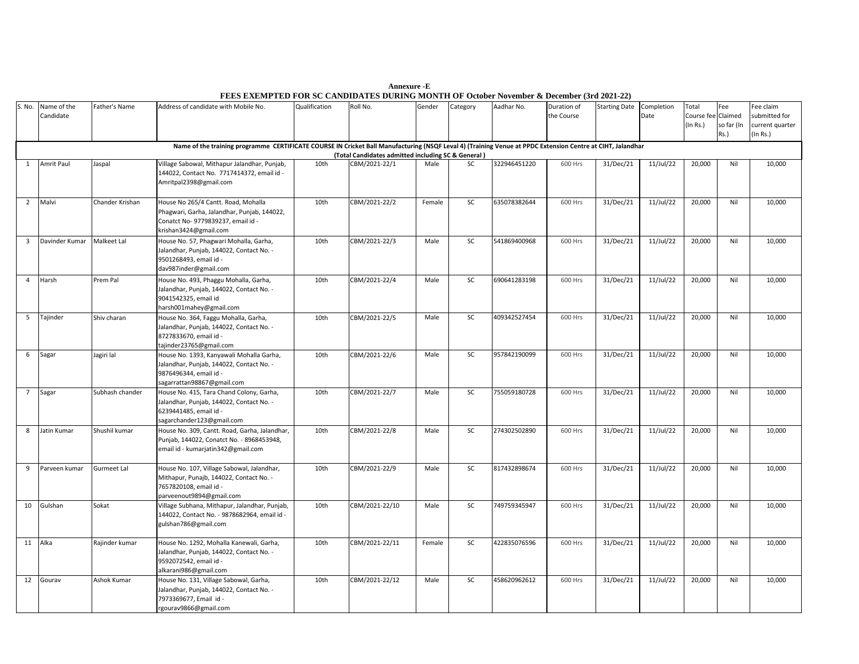| S. No.          | Name of the<br>Candidate                                                                                                                                                                                         | Father's Name   | Address of candidate with Mobile No.                                                                                                              | Qualification | Roll No.       | Gender | Category  | Aadhar No.   | Duration of<br>the Course | <b>Starting Date</b> | Completion<br>Date | Total<br>Course fee Claimed<br>(In Rs.) | Fee<br>so far (In<br>Rs.) | Fee claim<br>submitted for<br>current quarter<br>(In Rs.) |  |
|-----------------|------------------------------------------------------------------------------------------------------------------------------------------------------------------------------------------------------------------|-----------------|---------------------------------------------------------------------------------------------------------------------------------------------------|---------------|----------------|--------|-----------|--------------|---------------------------|----------------------|--------------------|-----------------------------------------|---------------------------|-----------------------------------------------------------|--|
|                 | Name of the training programme CERTIFICATE COURSE IN Cricket Ball Manufacturing (NSQF Leval 4) (Training Venue at PPDC Extension Centre at CIHT, Jalandhar<br>(Total Candidates admitted including SC & General) |                 |                                                                                                                                                   |               |                |        |           |              |                           |                      |                    |                                         |                           |                                                           |  |
| $\mathbf{1}$    | Amrit Paul                                                                                                                                                                                                       | Jaspal          | Village Sabowal, Mithapur Jalandhar, Punjab,                                                                                                      | 10th          | CBM/2021-22/1  | Male   | SC        | 322946451220 | 600 Hrs                   | 31/Dec/21            | 11/Jul/22          | 20,000                                  | Nil                       | 10,000                                                    |  |
|                 |                                                                                                                                                                                                                  |                 | 144022, Contact No. 7717414372, email id -<br>Amritpal2398@gmail.com                                                                              |               |                |        |           |              |                           |                      |                    |                                         |                           |                                                           |  |
| $\overline{2}$  | Malvi                                                                                                                                                                                                            | Chander Krishan | House No 265/4 Cantt. Road, Mohalla<br>Phagwari, Garha, Jalandhar, Punjab, 144022,<br>Conatct No- 9779839237, email id -<br>krishan3424@gmail.com | 10th          | CBM/2021-22/2  | Female | SC        | 635078382644 | 600 Hrs                   | 31/Dec/21            | 11/Jul/22          | 20,000                                  | Nil                       | 10,000                                                    |  |
| $\overline{3}$  | Davinder Kumar                                                                                                                                                                                                   | Malkeet Lal     | House No. 57, Phagwari Mohalla, Garha,<br>Jalandhar, Punjab, 144022, Contact No. -<br>9501268493, email id -<br>dav987inder@gmail.com             | 10th          | CBM/2021-22/3  | Male   | <b>SC</b> | 541869400968 | 600 Hrs                   | 31/Dec/21            | 11/Jul/22          | 20,000                                  | Nil                       | 10,000                                                    |  |
| $\overline{4}$  | Harsh                                                                                                                                                                                                            | Prem Pal        | House No. 493, Phaggu Mohalla, Garha,<br>Jalandhar, Punjab, 144022, Contact No. -<br>9041542325, email id<br>harsh001mahey@gmail.com              | 10th          | CBM/2021-22/4  | Male   | <b>SC</b> | 690641283198 | 600 Hrs                   | 31/Dec/21            | 11/Jul/22          | 20,000                                  | Nil                       | 10,000                                                    |  |
| 5               | Tajinder                                                                                                                                                                                                         | Shiv charan     | House No. 364, Faggu Mohalla, Garha,<br>Jalandhar, Punjab, 144022, Contact No. -<br>8727833670, email id -<br>tajinder23765@gmail.com             | 10th          | CBM/2021-22/5  | Male   | <b>SC</b> | 409342527454 | 600 Hrs                   | 31/Dec/21            | $11$ /Jul/22       | 20,000                                  | Nil                       | 10,000                                                    |  |
| 6               | Sagar                                                                                                                                                                                                            | Jagiri lal      | House No. 1393, Kanyawali Mohalla Garha,<br>Jalandhar, Punjab, 144022, Contact No. -<br>9876496344, email id -<br>sagarrattan98867@gmail.com      | 10th          | CBM/2021-22/6  | Male   | <b>SC</b> | 957842190099 | 600 Hrs                   | 31/Dec/21            | 11/Jul/22          | 20,000                                  | Nil                       | 10,000                                                    |  |
| $7\overline{ }$ | Sagar                                                                                                                                                                                                            | Subhash chander | House No. 415, Tara Chand Colony, Garha,<br>Jalandhar, Punjab, 144022, Contact No. -<br>6239441485, email id -<br>sagarchander123@gmail.com       | 10th          | CBM/2021-22/7  | Male   | <b>SC</b> | 755059180728 | 600 Hrs                   | 31/Dec/21            | $11$ /Jul/22       | 20,000                                  | Nil                       | 10,000                                                    |  |
| 8               | Jatin Kumar                                                                                                                                                                                                      | Shushil kumar   | House No. 309, Cantt. Road, Garha, Jalandhar,<br>Punjab, 144022, Conatct No. - 8968453948,<br>email id - kumarjatin342@gmail.com                  | 10th          | CBM/2021-22/8  | Male   | <b>SC</b> | 274302502890 | 600 Hrs                   | 31/Dec/21            | 11/Jul/22          | 20,000                                  | Nil                       | 10,000                                                    |  |
| 9               | Parveen kumar                                                                                                                                                                                                    | Gurmeet Lal     | House No. 107, Village Sabowal, Jalandhar,<br>Mithapur, Punajb, 144022, Contact No. -<br>7657820108, email id -<br>parveenout9894@gmail.com       | 10th          | CBM/2021-22/9  | Male   | <b>SC</b> | 817432898674 | 600 Hrs                   | 31/Dec/21            | 11/Jul/22          | 20,000                                  | Nil                       | 10,000                                                    |  |
| 10              | Gulshan                                                                                                                                                                                                          | Sokat           | Village Subhana, Mithapur, Jalandhar, Punjab,<br>144022, Contact No. - 9878682964, email id -<br>gulshan786@gmail.com                             | 10th          | CBM/2021-22/10 | Male   | <b>SC</b> | 749759345947 | 600 Hrs                   | 31/Dec/21            | 11/Jul/22          | 20,000                                  | Nil                       | 10,000                                                    |  |
| 11              | Alka                                                                                                                                                                                                             | Rajinder kumar  | House No. 1292, Mohalla Kanewali, Garha,<br>Jalandhar, Punjab, 144022, Contact No. -<br>9592072542, email id -<br>alkarani986@gmail.com           | 10th          | CBM/2021-22/11 | Female | SC        | 422835076596 | 600 Hrs                   | 31/Dec/21            | $11$ /Jul/22       | 20,000                                  | Nil                       | 10,000                                                    |  |
| 12              | Gourav                                                                                                                                                                                                           | Ashok Kumar     | House No. 131, Village Sabowal, Garha,<br>Jalandhar, Punjab, 144022, Contact No. -<br>7973369677, Email id -<br>rgourav9866@gmail.com             | 10th          | CBM/2021-22/12 | Male   | <b>SC</b> | 458620962612 | 600 Hrs                   | 31/Dec/21            | 11/Jul/22          | 20,000                                  | Nil                       | 10,000                                                    |  |

**Annexure -E FEES EXEMPTED FOR SC CANDIDATES DURING MONTH OF October November & December (3rd 2021-22)**